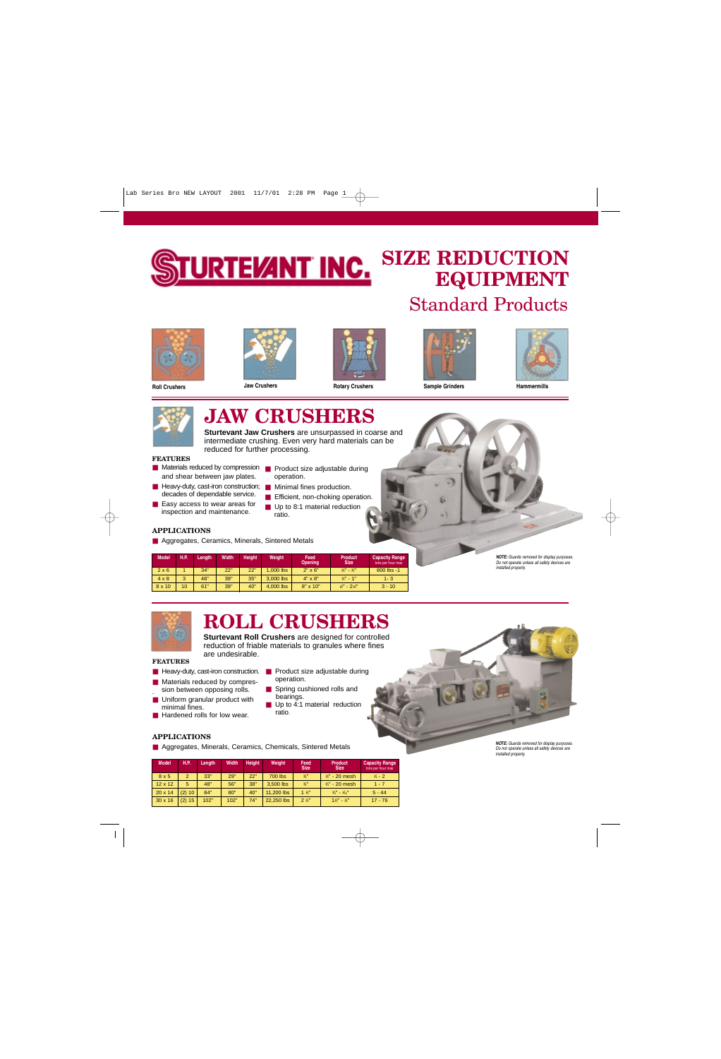

## **SIZE REDUCTION EQUIPMENT**  Standard Products









**Roll Crushers Jaw Crushers Rotary Crushers Sample Grinders Hammermills**





## **JAW CRUSHERS**

**Sturtevant Jaw Crushers** are unsurpassed in coarse and intermediate crushing. Even very hard materials can be reduced for further processing.

#### **FEATURES**

- Materials reduced by compression Product size adjustable during and shear between jaw plates.
- Heavy-duty, cast-iron construction; Minimal fines production. decades of dependable service.
- Easy access to wear areas for inspection and maintenance.
- operation.
- 
- Efficient, non-choking operation.
- Up to 8:1 material reduction ratio.

#### **APPLICATIONS**

■ Aggregates, Ceramics, Minerals, Sintered Metals

| <b>Model</b>  | H.P. | Lenath | <b>Width</b> | <b>Height</b> | Weight      | Feed<br><b>Opening</b> | <b>Product</b><br><b>Size</b> | <b>Capacity Range</b><br>tons per hour max |
|---------------|------|--------|--------------|---------------|-------------|------------------------|-------------------------------|--------------------------------------------|
| $2 \times 6$  |      | 34"    | 22"          | 22"           | $1.000$ lbs | $2" \times 6"$         | $\frac{1}{8}$ - $\frac{3}{4}$ | 800 lbs -1                                 |
| $4 \times 8$  | 3    | 46"    | 39"          | 35"           | 3.000 lbs   | $4" \times 8"$         | $V_4$ " - 1"                  | $1 - 3$                                    |
| $8 \times 10$ | 10   | 61"    | 39"          | 40"           | 4,000 lbs   | $8" \times 10"$        | $1/2$ " - $21/2$ "            | $3 - 10$                                   |

*NOTE: Guards removed for display purposes. Do not operate unless all safety devices are installed properly.*



# **ROLL CRUSHERS**

**Sturtevant Roll Crushers** are designed for controlled reduction of friable materials to granules where fines are undesirable.

■ Spring cushioned rolls and

Up to  $\overline{4:1}$  material reduction

operation.

bearings.

ratio.

#### **FEATURES**

- Heavy-duty, cast-iron construction. Product size adjustable during
- Materials reduced by compression between opposing rolls. .
- Uniform granular product with minimal fines.
- Hardened rolls for low wear.

#### **APPLICATIONS**

■ Aggregates, Minerals, Ceramics, Chemicals, Sintered Metals

| <b>Model</b>   | <b>H.P.</b>    | Length | Width | <b>Height</b><br>Weight |                | Feed<br><b>Size</b> | <b>Product</b><br><b>Size</b>  | <b>Capacity Range</b><br>tons per hour max |  |
|----------------|----------------|--------|-------|-------------------------|----------------|---------------------|--------------------------------|--------------------------------------------|--|
| 8x5            | $\overline{2}$ | 33"    | 29"   | 22"                     | <b>700 lbs</b> | 3/4                 | $1/2$ " - 20 mesh              | $1/4 - 2$                                  |  |
| $12 \times 12$ | 5              | 48"    | 56"   | 38"                     | 3,500 lbs      | $\frac{3}{4}$       | $\frac{3}{4}$ " - 20 mesh      | $1 - 7$                                    |  |
| $20 \times 14$ | $(2)$ 10       | 84"    | 80"   | 40"                     | 11,200 lbs     | $1 \frac{1}{2}$     | $3/4" - 1/16"$                 | $5 - 44$                                   |  |
| $30 \times 16$ | (2) 15         | 102"   | 102"  | 74"                     | 22,250 lbs     | $2\frac{1}{2}$      | $1\frac{1}{2}$ - $\frac{1}{4}$ | $17 - 76$                                  |  |



*Do not operate unless all safety devices are installed properly.*